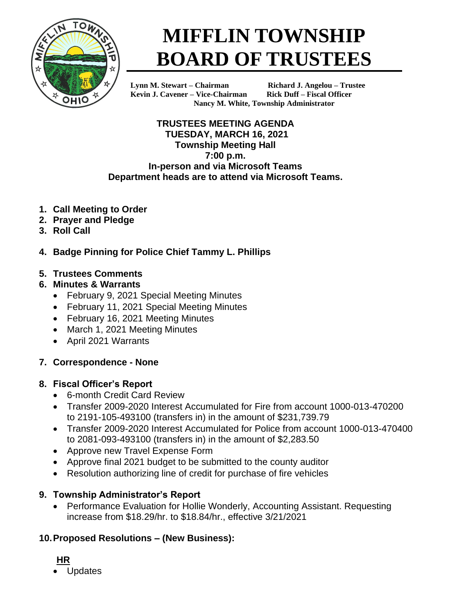

# **MIFFLIN TOWNSHIP BOARD OF TRUSTEES**

**Kevin J. Cavener – Vice-Chairman Rick Duff – Fiscal Officer**

**Lynn M. Stewart – Chairman Richard J. Angelou – Trustee Nancy M. White, Township Administrator**

**TRUSTEES MEETING AGENDA TUESDAY, MARCH 16, 2021 Township Meeting Hall 7:00 p.m. In-person and via Microsoft Teams Department heads are to attend via Microsoft Teams.**

- **1. Call Meeting to Order**
- **2. Prayer and Pledge**
- **3. Roll Call**
- **4. Badge Pinning for Police Chief Tammy L. Phillips**
- **5. Trustees Comments**
- **6. Minutes & Warrants**
	- February 9, 2021 Special Meeting Minutes
	- February 11, 2021 Special Meeting Minutes
	- February 16, 2021 Meeting Minutes
	- March 1, 2021 Meeting Minutes
	- April 2021 Warrants
- **7. Correspondence - None**

## **8. Fiscal Officer's Report**

- 6-month Credit Card Review
- Transfer 2009-2020 Interest Accumulated for Fire from account 1000-013-470200 to 2191-105-493100 (transfers in) in the amount of \$231,739.79
- Transfer 2009-2020 Interest Accumulated for Police from account 1000-013-470400 to 2081-093-493100 (transfers in) in the amount of \$2,283.50
- Approve new Travel Expense Form
- Approve final 2021 budget to be submitted to the county auditor
- Resolution authorizing line of credit for purchase of fire vehicles

## **9. Township Administrator's Report**

• Performance Evaluation for Hollie Wonderly, Accounting Assistant. Requesting increase from \$18.29/hr. to \$18.84/hr., effective 3/21/2021

## **10.Proposed Resolutions – (New Business):**

- **HR**
- **Updates**